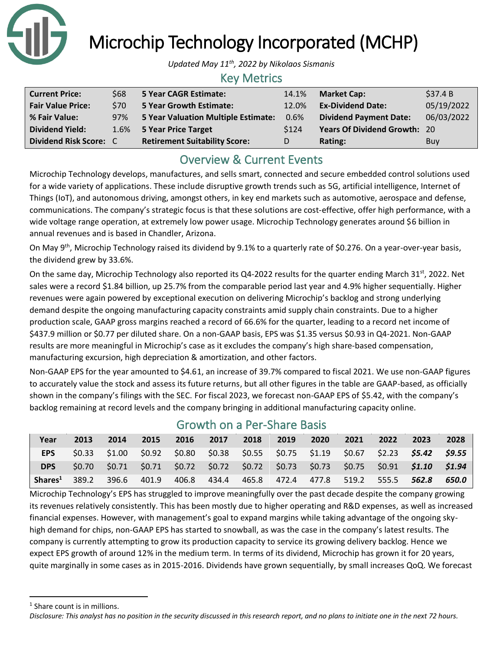

Microchip Technology Incorporated (MCHP)

*Updated May 11th, 2022 by Nikolaos Sismanis*

### Key Metrics

| <b>Current Price:</b>    | \$68 | 5 Year CAGR Estimate:                | 14.1% | <b>Market Cap:</b>                  | \$37.4B    |
|--------------------------|------|--------------------------------------|-------|-------------------------------------|------------|
| <b>Fair Value Price:</b> | \$70 | <b>5 Year Growth Estimate:</b>       | 12.0% | <b>Ex-Dividend Date:</b>            | 05/19/2022 |
| % Fair Value:            | 97%  | 5 Year Valuation Multiple Estimate:  | 0.6%  | <b>Dividend Payment Date:</b>       | 06/03/2022 |
| <b>Dividend Yield:</b>   |      | 1.6% 5 Year Price Target             | \$124 | <b>Years Of Dividend Growth: 20</b> |            |
| Dividend Risk Score: C   |      | <b>Retirement Suitability Score:</b> |       | Rating:                             | <b>Buy</b> |

## Overview & Current Events

Microchip Technology develops, manufactures, and sells smart, connected and secure embedded control solutions used for a wide variety of applications. These include disruptive growth trends such as 5G, artificial intelligence, Internet of Things (IoT), and autonomous driving, amongst others, in key end markets such as automotive, aerospace and defense, communications. The company's strategic focus is that these solutions are cost-effective, offer high performance, with a wide voltage range operation, at extremely low power usage. Microchip Technology generates around \$6 billion in annual revenues and is based in Chandler, Arizona.

On May 9<sup>th</sup>, Microchip Technology raised its dividend by 9.1% to a quarterly rate of \$0.276. On a year-over-year basis, the dividend grew by 33.6%.

On the same day, Microchip Technology also reported its Q4-2022 results for the quarter ending March 31<sup>st</sup>, 2022. Net sales were a record \$1.84 billion, up 25.7% from the comparable period last year and 4.9% higher sequentially. Higher revenues were again powered by exceptional execution on delivering Microchip's backlog and strong underlying demand despite the ongoing manufacturing capacity constraints amid supply chain constraints. Due to a higher production scale, GAAP gross margins reached a record of 66.6% for the quarter, leading to a record net income of \$437.9 million or \$0.77 per diluted share. On a non-GAAP basis, EPS was \$1.35 versus \$0.93 in Q4-2021. Non-GAAP results are more meaningful in Microchip's case as it excludes the company's high share-based compensation, manufacturing excursion, high depreciation & amortization, and other factors.

Non-GAAP EPS for the year amounted to \$4.61, an increase of 39.7% compared to fiscal 2021. We use non-GAAP figures to accurately value the stock and assess its future returns, but all other figures in the table are GAAP-based, as officially shown in the company's filings with the SEC. For fiscal 2023, we forecast non-GAAP EPS of \$5.42, with the company's backlog remaining at record levels and the company bringing in additional manufacturing capacity online.

| Year                                                                                   | 2013 | 2014 | 2015 | 2016 | 2017 | 2018 2019 | 2020 | 2021 | 2022 | 2023                                                                                                 | 2028  |
|----------------------------------------------------------------------------------------|------|------|------|------|------|-----------|------|------|------|------------------------------------------------------------------------------------------------------|-------|
| <b>EPS</b>                                                                             |      |      |      |      |      |           |      |      |      | $$0.33$ $$1.00$ $$0.92$ $$0.80$ $$0.38$ $$0.55$ $$0.75$ $$1.19$ $$0.67$ $$2.23$ $$5.42$ $$9.55$      |       |
| DPS                                                                                    |      |      |      |      |      |           |      |      |      | \$0.70  \$0.71  \$0.71  \$0.72  \$0.72  \$0.72  \$0.73  \$0.73  \$0.75  \$0.91 <b>\$1.10  \$1.94</b> |       |
| <b>Shares</b> <sup>1</sup> 389.2 396.6 401.9 406.8 434.4 465.8 472.4 477.8 519.2 555.5 |      |      |      |      |      |           |      |      |      | $-562.8$                                                                                             | 650.0 |

## Growth on a Per-Share Basis

Microchip Technology's EPS has struggled to improve meaningfully over the past decade despite the company growing its revenues relatively consistently. This has been mostly due to higher operating and R&D expenses, as well as increased financial expenses. However, with management's goal to expand margins while taking advantage of the ongoing skyhigh demand for chips, non-GAAP EPS has started to snowball, as was the case in the company's latest results. The company is currently attempting to grow its production capacity to service its growing delivery backlog. Hence we expect EPS growth of around 12% in the medium term. In terms of its dividend, Microchip has grown it for 20 years, quite marginally in some cases as in 2015-2016. Dividends have grown sequentially, by small increases QoQ. We forecast

<sup>&</sup>lt;sup>1</sup> Share count is in millions.

*Disclosure: This analyst has no position in the security discussed in this research report, and no plans to initiate one in the next 72 hours.*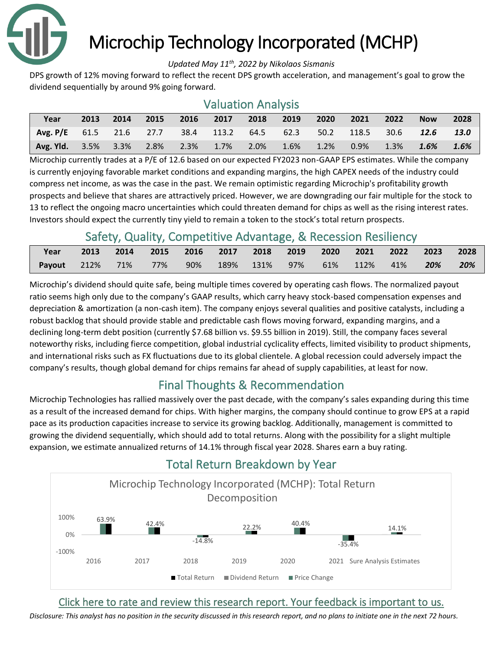

# Microchip Technology Incorporated (MCHP)

#### *Updated May 11th, 2022 by Nikolaos Sismanis*

DPS growth of 12% moving forward to reflect the recent DPS growth acceleration, and management's goal to grow the dividend sequentially by around 9% going forward.

# Valuation Analysis

| Year                                                                          |  |  |  |  | 2013 2014 2015 2016 2017 2018 2019 2020 2021 2022 | <b>Now</b> | 2028 |
|-------------------------------------------------------------------------------|--|--|--|--|---------------------------------------------------|------------|------|
| Avg. P/E 61.5 21.6 27.7 38.4 113.2 64.5 62.3 50.2 118.5 30.6 12.6 13.0        |  |  |  |  |                                                   |            |      |
| Avg. Yld. 3.5% 3.3% 2.8% 2.3% 1.7% 2.0% 1.6% 1.2% 0.9% 1.3% 1.6 <b>% 1.6%</b> |  |  |  |  |                                                   |            |      |

Microchip currently trades at a P/E of 12.6 based on our expected FY2023 non-GAAP EPS estimates. While the company is currently enjoying favorable market conditions and expanding margins, the high CAPEX needs of the industry could compress net income, as was the case in the past. We remain optimistic regarding Microchip's profitability growth prospects and believe that shares are attractively priced. However, we are downgrading our fair multiple for the stock to 13 to reflect the ongoing macro uncertainties which could threaten demand for chips as well as the rising interest rates. Investors should expect the currently tiny yield to remain a token to the stock's total return prospects.

## Safety, Quality, Competitive Advantage, & Recession Resiliency

| Year                |  |     |  |  | 2013 2014 2015 2016 2017 2018 2019 2020 2021 2022 2023 2028 |  |       |
|---------------------|--|-----|--|--|-------------------------------------------------------------|--|-------|
| Payout 212% 71% 77% |  | 90% |  |  | 189% 131% 97% 61% 112% 41% <b>20%</b>                       |  | - 20% |

Microchip's dividend should quite safe, being multiple times covered by operating cash flows. The normalized payout ratio seems high only due to the company's GAAP results, which carry heavy stock-based compensation expenses and depreciation & amortization (a non-cash item). The company enjoys several qualities and positive catalysts, including a robust backlog that should provide stable and predictable cash flows moving forward, expanding margins, and a declining long-term debt position (currently \$7.68 billion vs. \$9.55 billion in 2019). Still, the company faces several noteworthy risks, including fierce competition, global industrial cyclicality effects, limited visibility to product shipments, and international risks such as FX fluctuations due to its global clientele. A global recession could adversely impact the company's results, though global demand for chips remains far ahead of supply capabilities, at least for now.

## Final Thoughts & Recommendation

Microchip Technologies has rallied massively over the past decade, with the company's sales expanding during this time as a result of the increased demand for chips. With higher margins, the company should continue to grow EPS at a rapid pace as its production capacities increase to service its growing backlog. Additionally, management is committed to growing the dividend sequentially, which should add to total returns. Along with the possibility for a slight multiple expansion, we estimate annualized returns of 14.1% through fiscal year 2028. Shares earn a buy rating.



## Total Return Breakdown by Year

## [Click here to rate and review this research report. Your feedback is important to us.](https://suredividend.typeform.com/to/qc67nT)

*[Disclosure: This analyst has no position in the security discussed in this research report, and no plans to initiate one in the next 72 hours.](https://suredividend.typeform.com/to/qc67nT)*